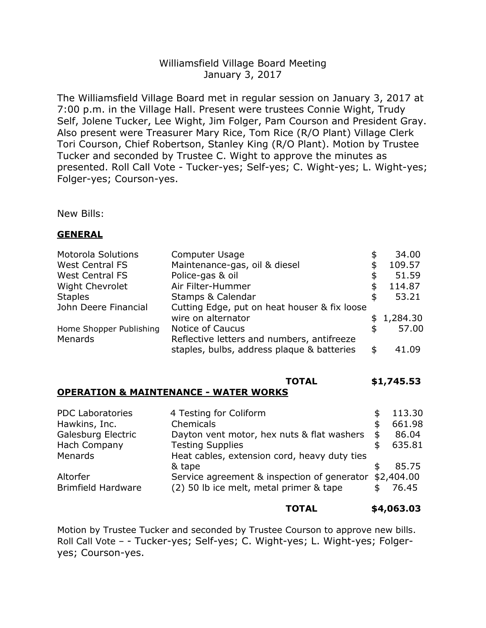# Williamsfield Village Board Meeting January 3, 2017

The Williamsfield Village Board met in regular session on January 3, 2017 at 7:00 p.m. in the Village Hall. Present were trustees Connie Wight, Trudy Self, Jolene Tucker, Lee Wight, Jim Folger, Pam Courson and President Gray. Also present were Treasurer Mary Rice, Tom Rice (R/O Plant) Village Clerk Tori Courson, Chief Robertson, Stanley King (R/O Plant). Motion by Trustee Tucker and seconded by Trustee C. Wight to approve the minutes as presented. Roll Call Vote - Tucker-yes; Self-yes; C. Wight-yes; L. Wight-yes; Folger-yes; Courson-yes.

New Bills:

### **GENERAL**

| <b>Motorola Solutions</b> | Computer Usage                               | \$ | 34.00      |  |
|---------------------------|----------------------------------------------|----|------------|--|
| <b>West Central FS</b>    | Maintenance-gas, oil & diesel                |    | 109.57     |  |
| <b>West Central FS</b>    | Police-gas & oil                             | \$ | 51.59      |  |
| <b>Wight Chevrolet</b>    | Air Filter-Hummer                            | \$ | 114.87     |  |
| <b>Staples</b>            | Stamps & Calendar                            | \$ | 53.21      |  |
| John Deere Financial      | Cutting Edge, put on heat houser & fix loose |    |            |  |
|                           | wire on alternator                           |    | \$1,284.30 |  |
| Home Shopper Publishing   | Notice of Caucus                             | \$ | 57.00      |  |
| Menards                   | Reflective letters and numbers, antifreeze   |    |            |  |
|                           | staples, bulbs, address plaque & batteries   | \$ | 41.09      |  |
|                           |                                              |    |            |  |

# **TOTAL \$1,745.53**

## **OPERATION & MAINTENANCE - WATER WORKS**

| 4 Testing for Coliform                       |                                         | 113.30                                      |
|----------------------------------------------|-----------------------------------------|---------------------------------------------|
| Chemicals                                    |                                         | 661.98                                      |
| Dayton vent motor, hex nuts & flat washers   | \$                                      | 86.04                                       |
| <b>Testing Supplies</b>                      |                                         | 635.81                                      |
| Heat cables, extension cord, heavy duty ties |                                         |                                             |
| & tape                                       |                                         | 85.75                                       |
|                                              |                                         | \$2,404.00                                  |
|                                              |                                         | 76.45                                       |
|                                              | (2) 50 lb ice melt, metal primer & tape | Service agreement & inspection of generator |

### **TOTAL \$4,063.03**

Motion by Trustee Tucker and seconded by Trustee Courson to approve new bills. Roll Call Vote – - Tucker-yes; Self-yes; C. Wight-yes; L. Wight-yes; Folgeryes; Courson-yes.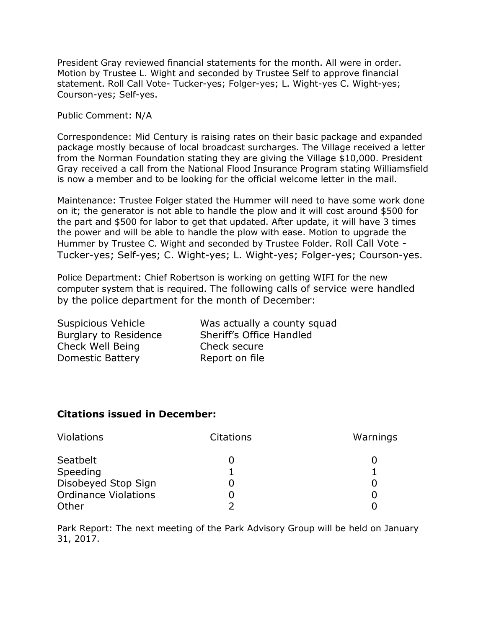President Gray reviewed financial statements for the month. All were in order. Motion by Trustee L. Wight and seconded by Trustee Self to approve financial statement. Roll Call Vote- Tucker-yes; Folger-yes; L. Wight-yes C. Wight-yes; Courson-yes; Self-yes.

Public Comment: N/A

Correspondence: Mid Century is raising rates on their basic package and expanded package mostly because of local broadcast surcharges. The Village received a letter from the Norman Foundation stating they are giving the Village \$10,000. President Gray received a call from the National Flood Insurance Program stating Williamsfield is now a member and to be looking for the official welcome letter in the mail.

Maintenance: Trustee Folger stated the Hummer will need to have some work done on it; the generator is not able to handle the plow and it will cost around \$500 for the part and \$500 for labor to get that updated. After update, it will have 3 times the power and will be able to handle the plow with ease. Motion to upgrade the Hummer by Trustee C. Wight and seconded by Trustee Folder. Roll Call Vote - Tucker-yes; Self-yes; C. Wight-yes; L. Wight-yes; Folger-yes; Courson-yes.

Police Department: Chief Robertson is working on getting WIFI for the new computer system that is required. The following calls of service were handled by the police department for the month of December:

| Suspicious Vehicle           | Was actually a county squad |
|------------------------------|-----------------------------|
| <b>Burglary to Residence</b> | Sheriff's Office Handled    |
| Check Well Being             | Check secure                |
| Domestic Battery             | Report on file              |
|                              |                             |

### **Citations issued in December:**

| <b>Violations</b>           | <b>Citations</b> | Warnings |
|-----------------------------|------------------|----------|
| Seatbelt                    |                  |          |
| Speeding                    |                  |          |
| Disobeyed Stop Sign         |                  |          |
| <b>Ordinance Violations</b> |                  |          |
| Other                       |                  |          |

Park Report: The next meeting of the Park Advisory Group will be held on January 31, 2017.